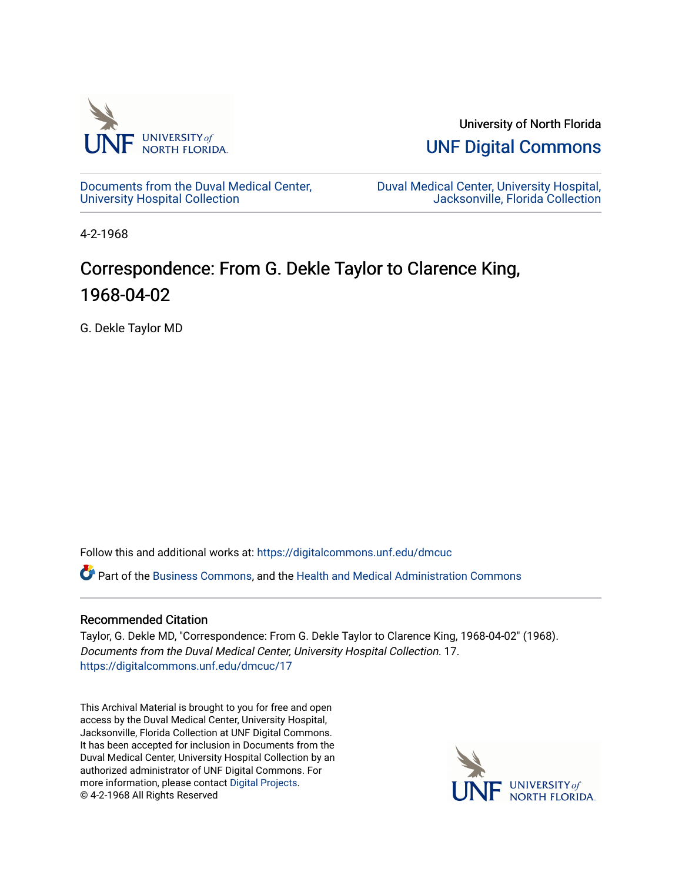

University of North Florida

[UNF Digital Commons](https://digitalcommons.unf.edu/) 

[Documents from the Duval Medical Center,](https://digitalcommons.unf.edu/dmcuc) [University Hospital Collection](https://digitalcommons.unf.edu/dmcuc)

[Duval Medical Center, University Hospital,](https://digitalcommons.unf.edu/dmcuc_home)  [Jacksonville, Florida Collection](https://digitalcommons.unf.edu/dmcuc_home) 

4-2-1968

## Correspondence: From G. Dekle Taylor to Clarence King, 1968-04-02

G. Dekle Taylor MD

Follow this and additional works at: [https://digitalcommons.unf.edu/dmcuc](https://digitalcommons.unf.edu/dmcuc?utm_source=digitalcommons.unf.edu%2Fdmcuc%2F17&utm_medium=PDF&utm_campaign=PDFCoverPages) 

Part of the [Business Commons](http://network.bepress.com/hgg/discipline/622?utm_source=digitalcommons.unf.edu%2Fdmcuc%2F17&utm_medium=PDF&utm_campaign=PDFCoverPages), and the [Health and Medical Administration Commons](http://network.bepress.com/hgg/discipline/663?utm_source=digitalcommons.unf.edu%2Fdmcuc%2F17&utm_medium=PDF&utm_campaign=PDFCoverPages)

## Recommended Citation

Taylor, G. Dekle MD, "Correspondence: From G. Dekle Taylor to Clarence King, 1968-04-02" (1968). Documents from the Duval Medical Center, University Hospital Collection. 17. [https://digitalcommons.unf.edu/dmcuc/17](https://digitalcommons.unf.edu/dmcuc/17?utm_source=digitalcommons.unf.edu%2Fdmcuc%2F17&utm_medium=PDF&utm_campaign=PDFCoverPages) 

This Archival Material is brought to you for free and open access by the Duval Medical Center, University Hospital, Jacksonville, Florida Collection at UNF Digital Commons. It has been accepted for inclusion in Documents from the Duval Medical Center, University Hospital Collection by an authorized administrator of UNF Digital Commons. For more information, please contact [Digital Projects](mailto:lib-digital@unf.edu). © 4-2-1968 All Rights Reserved

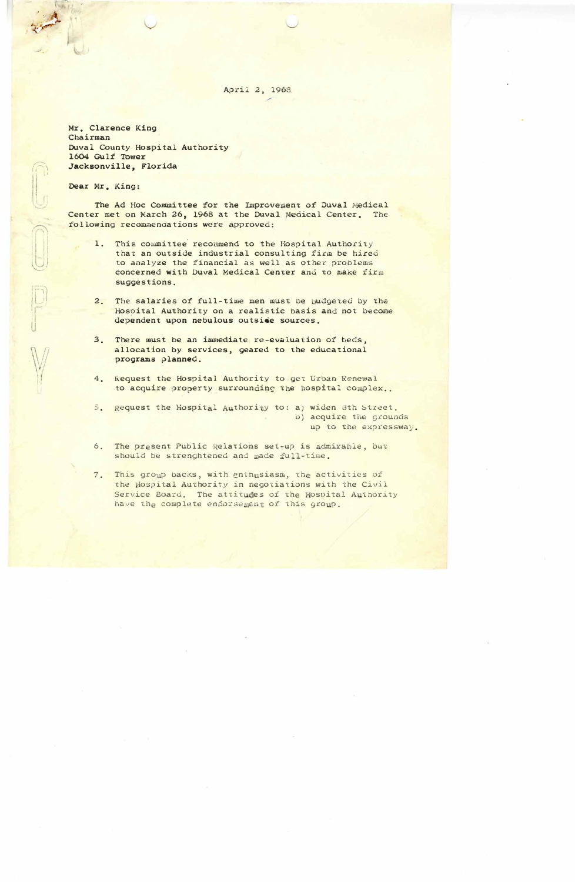April 2, 1968

Mr. Clarence King Chairman Duval County Hospital Authority 1604 Gulf Tower Jacksonville, Florida

Dear Mr. King:

The Ad Hoc Committee for the Improvement of Duval Medical Center met on March 26, 1968 at the Duval Medical Center. The following recommendations were approved:

- $1.$ This committee recommend to the Hospital Authority that an outside industrial consulting firm be hired to analyze the financial as well as other problems concerned with Duval Medical Center and to make firm suggestions.
- $2.$ The salaries of full-time men must be budgeted by the Hospital Authority on a realistic basis and not become dependent upon nebulous outside sources.
- There must be an immediate re-evaluation of beds.  $3.$ allocation by services, geared to the educational programs planned.
- $4.$ Request the Hospital Authority to get Urban Renewal to acquire property surrounding the hospital complex..

 $5.$ Request the Hospital Authority to: a) widen 8th Street. b) acquire the grounds up to the expressway.

- The present Public Relations set-up is admirable, but  $6.$ should be strenghtened and made full-time.
- $7.$ This group backs, with enthusiasm, the activities of the Hospital Authority in negotiations with the Civil Service Board. The attitudes of the Hospital Authority have the complete endorsement of this group.